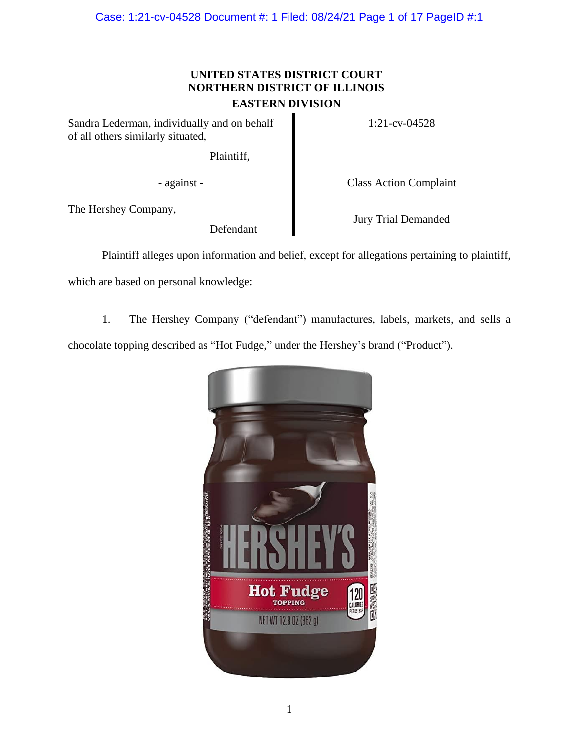Case: 1:21-cv-04528 Document #: 1 Filed: 08/24/21 Page 1 of 17 PageID #:1

# **UNITED STATES DISTRICT COURT NORTHERN DISTRICT OF ILLINOIS EASTERN DIVISION**

Sandra Lederman, individually and on behalf of all others similarly situated,

1:21-cv-04528

Plaintiff,

- against - Class Action Complaint

The Hershey Company,

Defendant

Jury Trial Demanded

Plaintiff alleges upon information and belief, except for allegations pertaining to plaintiff,

which are based on personal knowledge:

1. The Hershey Company ("defendant") manufactures, labels, markets, and sells a

chocolate topping described as "Hot Fudge," under the Hershey's brand ("Product").

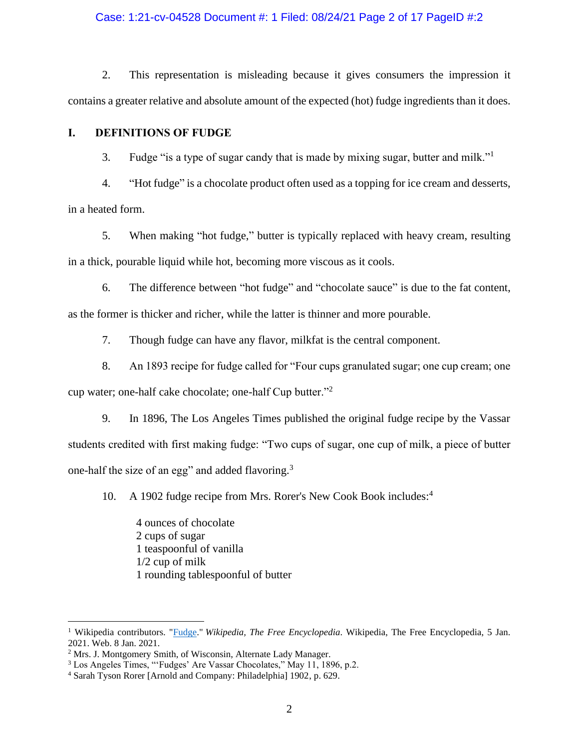### Case: 1:21-cv-04528 Document #: 1 Filed: 08/24/21 Page 2 of 17 PageID #:2

2. This representation is misleading because it gives consumers the impression it contains a greater relative and absolute amount of the expected (hot) fudge ingredients than it does.

### **I. DEFINITIONS OF FUDGE**

3. Fudge "is a type of sugar candy that is made by mixing sugar, butter and milk."<sup>1</sup>

4. "Hot fudge" is a chocolate product often used as a topping for ice cream and desserts, in a heated form.

5. When making "hot fudge," butter is typically replaced with heavy cream, resulting in a thick, pourable liquid while hot, becoming more viscous as it cools.

6. The difference between "hot fudge" and "chocolate sauce" is due to the fat content, as the former is thicker and richer, while the latter is thinner and more pourable.

7. Though fudge can have any flavor, milkfat is the central component.

8. An 1893 recipe for fudge called for "Four cups granulated sugar; one cup cream; one

cup water; one-half cake chocolate; one-half Cup butter."<sup>2</sup>

9. In 1896, The Los Angeles Times published the original fudge recipe by the Vassar students credited with first making fudge: "Two cups of sugar, one cup of milk, a piece of butter one-half the size of an egg" and added flavoring.<sup>3</sup>

10. A 1902 fudge recipe from Mrs. Rorer's New Cook Book includes:<sup>4</sup>

4 ounces of chocolate 2 cups of sugar 1 teaspoonful of vanilla 1/2 cup of milk 1 rounding tablespoonful of butter

<sup>1</sup> Wikipedia contributors. ["Fudge.](https://en.wikipedia.org/wiki/Fudge)" *Wikipedia, The Free Encyclopedia*. Wikipedia, The Free Encyclopedia, 5 Jan. 2021. Web. 8 Jan. 2021.

<sup>2</sup> Mrs. J. Montgomery Smith, of Wisconsin, Alternate Lady Manager.

<sup>3</sup> Los Angeles Times, "'Fudges' Are Vassar Chocolates," May 11, 1896, p.2.

<sup>4</sup> Sarah Tyson Rorer [Arnold and Company: Philadelphia] 1902, p. 629.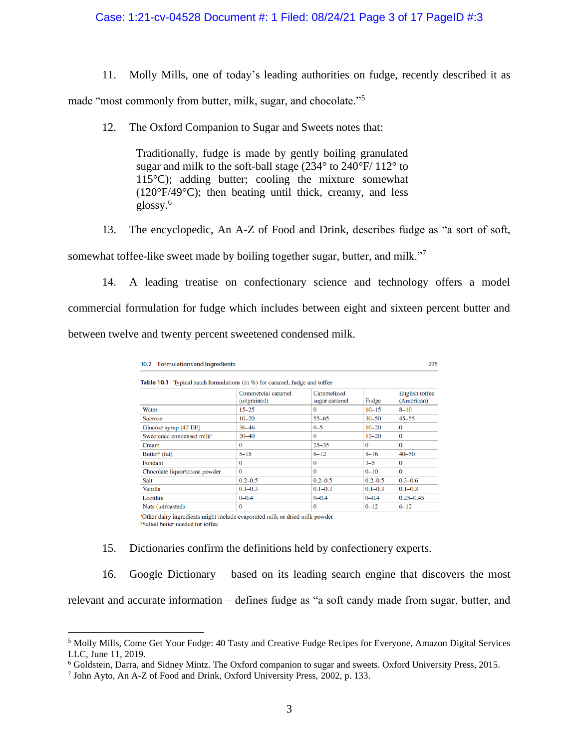## Case: 1:21-cv-04528 Document #: 1 Filed: 08/24/21 Page 3 of 17 PageID #:3

11. Molly Mills, one of today's leading authorities on fudge, recently described it as

made "most commonly from butter, milk, sugar, and chocolate."<sup>5</sup>

12. The Oxford Companion to Sugar and Sweets notes that:

Traditionally, fudge is made by gently boiling granulated sugar and milk to the soft-ball stage (234° to 240°F/ 112° to  $115^{\circ}$ C); adding butter; cooling the mixture somewhat (120°F/49°C); then beating until thick, creamy, and less glossy.<sup>6</sup>

13. The encyclopedic, An A-Z of Food and Drink, describes fudge as "a sort of soft,

somewhat toffee-like sweet made by boiling together sugar, butter, and milk."<sup>7</sup>

14. A leading treatise on confectionary science and technology offers a model commercial formulation for fudge which includes between eight and sixteen percent butter and between twelve and twenty percent sweetened condensed milk.

| 10.2 Formulations and Ingredients                                                 |                                   |                              |             | 275                          |  |
|-----------------------------------------------------------------------------------|-----------------------------------|------------------------------|-------------|------------------------------|--|
| <b>Table 10.1</b> Typical batch formulations (in %) for caramel, fudge and toffee |                                   |                              |             |                              |  |
|                                                                                   | Commercial caramel<br>(ungrained) | Caramelized<br>sugar caramel | Fudge       | English toffee<br>(American) |  |
| Water                                                                             | $15 - 25$                         | 0                            | $10 - 15$   | $8 - 10$                     |  |
| <b>Sucrose</b>                                                                    | $10 - 20$                         | $55 - 65$                    | $30 - 50$   | $45 - 55$                    |  |
| Glucose syrup (42 DE)                                                             | 36 46                             | $0 - 5$                      | $10 - 20$   | $\Omega$                     |  |
| Sweetened condensed milk <sup>a</sup>                                             | $20 - 40$                         | $\Omega$                     | $12 - 20$   | $\Omega$                     |  |
| Cream                                                                             | $\Omega$                          | $25 - 35$                    | $\Omega$    | $\Omega$                     |  |
| Butter <sup>b</sup> (fat)                                                         | $5 - 15$                          | $6 - 12$                     | $8 - 16$    | $40 - 50$                    |  |
| Fondant                                                                           | $\Omega$                          | 0                            | $3 - 5$     | $\Omega$                     |  |
| Chocolate liquor/cocoa powder                                                     | $\Omega$                          | 0                            | $0 - 10$    | $\Omega$                     |  |
| Salt                                                                              | $0.2 - 0.5$                       | $0.2 - 0.5$                  | $0.2 - 0.5$ | $0.3 - 0.6$                  |  |
| Vanilla                                                                           | $0.1 - 0.3$                       | $0.1 - 0.3$                  | $0.1 - 0.3$ | $0.1 - 0.3$                  |  |
| Lecithin                                                                          | $0 - 0.4$                         | $0 - 0.4$                    | $0 - 0.4$   | $0.25 - 0.45$                |  |
| Nuts (unroasted)                                                                  | $\bf{0}$                          | 0                            | $0 - 12$    | $6 - 12$                     |  |

<sup>a</sup>Other dairy ingredients might include evaporated milk or dried milk powder <sup>b</sup>Salted butter needed for toffee

15. Dictionaries confirm the definitions held by confectionery experts.

16. Google Dictionary – based on its leading search engine that discovers the most

relevant and accurate information – defines fudge as "a soft candy made from sugar, butter, and

<sup>5</sup> Molly Mills, Come Get Your Fudge: 40 Tasty and Creative Fudge Recipes for Everyone, Amazon Digital Services LLC, June 11, 2019.

<sup>6</sup> Goldstein, Darra, and Sidney Mintz. The Oxford companion to sugar and sweets. Oxford University Press, 2015.

<sup>7</sup> John Ayto, An A-Z of Food and Drink, Oxford University Press, 2002, p. 133.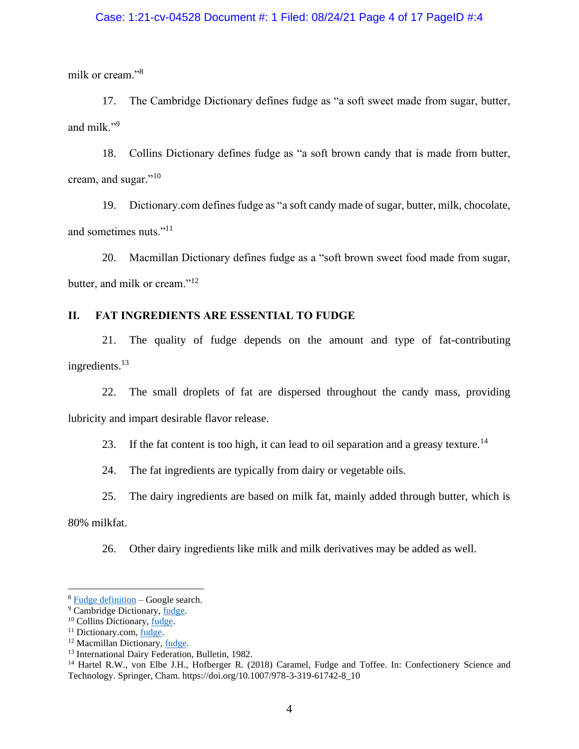## Case: 1:21-cv-04528 Document #: 1 Filed: 08/24/21 Page 4 of 17 PageID #:4

milk or cream."<sup>8</sup>

17. The Cambridge Dictionary defines fudge as "a soft sweet made from sugar, butter, and milk."<sup>9</sup>

18. Collins Dictionary defines fudge as "a soft brown candy that is made from butter, cream, and sugar."<sup>10</sup>

19. Dictionary.com defines fudge as "a soft candy made of sugar, butter, milk, chocolate, and sometimes nuts."<sup>11</sup>

20. Macmillan Dictionary defines fudge as a "soft brown sweet food made from sugar, butter, and milk or cream."<sup>12</sup>

## **II. FAT INGREDIENTS ARE ESSENTIAL TO FUDGE**

21. The quality of fudge depends on the amount and type of fat-contributing ingredients.<sup>13</sup>

22. The small droplets of fat are dispersed throughout the candy mass, providing lubricity and impart desirable flavor release.

23. If the fat content is too high, it can lead to oil separation and a greasy texture.<sup>14</sup>

24. The fat ingredients are typically from dairy or vegetable oils.

25. The dairy ingredients are based on milk fat, mainly added through butter, which is

80% milkfat.

26. Other dairy ingredients like milk and milk derivatives may be added as well.

<sup>8</sup> [Fudge definition](https://www.google.com/search?q=fudge+definition&rlz=1C1GCEA_enUS893US893&oq=fudge+defi&aqs=chrome.0.0i457j69i57j0j0i22i30j0i22i30i395l6.1835j1j9&sourceid=chrome&ie=UTF-8) – Google search.

<sup>&</sup>lt;sup>9</sup> Cambridge Dictionary[, fudge.](https://dictionary.cambridge.org/us/dictionary/english/fudge)

<sup>10</sup> Collins Dictionary, [fudge.](https://www.collinsdictionary.com/us/dictionary/english/fudge)

<sup>&</sup>lt;sup>11</sup> Dictionary.com, [fudge.](https://www.dictionary.com/browse/fudge)

<sup>&</sup>lt;sup>12</sup> Macmillan Dictionary[, fudge.](https://www.macmillandictionaryblog.com/fudge)

<sup>&</sup>lt;sup>13</sup> International Dairy Federation, Bulletin, 1982.

<sup>&</sup>lt;sup>14</sup> Hartel R.W., von Elbe J.H., Hofberger R. (2018) Caramel, Fudge and Toffee. In: Confectionery Science and Technology. Springer, Cham. https://doi.org/10.1007/978-3-319-61742-8\_10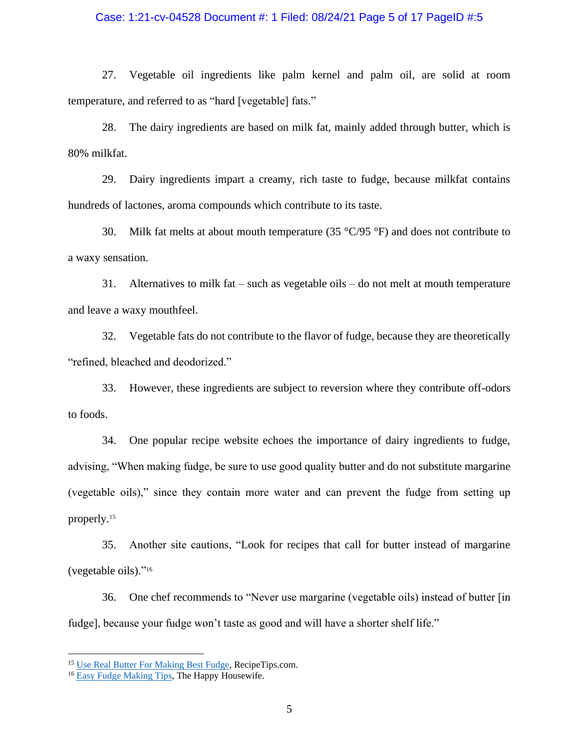## Case: 1:21-cv-04528 Document #: 1 Filed: 08/24/21 Page 5 of 17 PageID #:5

27. Vegetable oil ingredients like palm kernel and palm oil, are solid at room temperature, and referred to as "hard [vegetable] fats."

28. The dairy ingredients are based on milk fat, mainly added through butter, which is 80% milkfat.

29. Dairy ingredients impart a creamy, rich taste to fudge, because milkfat contains hundreds of lactones, aroma compounds which contribute to its taste.

30. Milk fat melts at about mouth temperature (35  $\degree$ C/95  $\degree$ F) and does not contribute to a waxy sensation.

31. Alternatives to milk fat – such as vegetable oils – do not melt at mouth temperature and leave a waxy mouthfeel.

32. Vegetable fats do not contribute to the flavor of fudge, because they are theoretically "refined, bleached and deodorized."

33. However, these ingredients are subject to reversion where they contribute off-odors to foods.

34. One popular recipe website echoes the importance of dairy ingredients to fudge, advising, "When making fudge, be sure to use good quality butter and do not substitute margarine (vegetable oils)," since they contain more water and can prevent the fudge from setting up properly.<sup>15</sup>

35. Another site cautions, "Look for recipes that call for butter instead of margarine (vegetable oils)." 16

36. One chef recommends to "Never use margarine (vegetable oils) instead of butter [in fudge], because your fudge won't taste as good and will have a shorter shelf life."

<sup>&</sup>lt;sup>15</sup> [Use Real Butter For Making Best Fudge,](https://www.recipetips.com/quick-tips-ideas/use-real-butter-for-making-best-fudge.asp) RecipeTips.com.

<sup>&</sup>lt;sup>16</sup> [Easy Fudge Making Tips,](https://thehappyhousewife.com/cooking/easy-fudge-making-tips/) The Happy Housewife.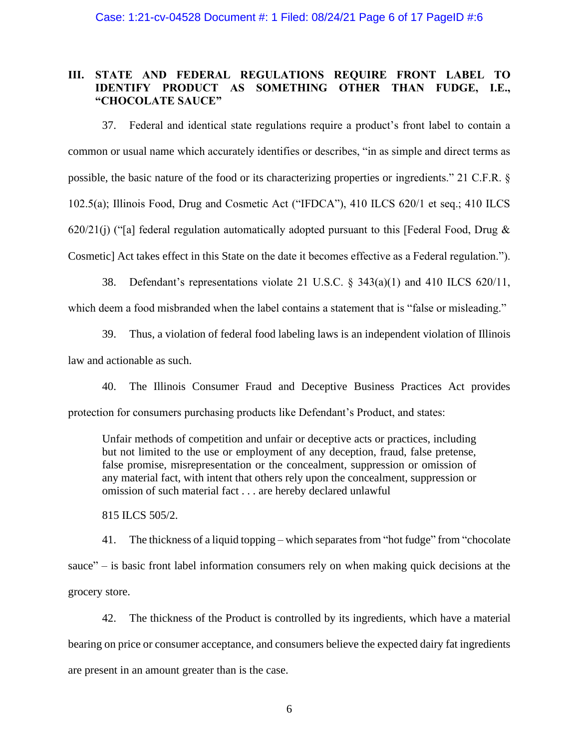## **III. STATE AND FEDERAL REGULATIONS REQUIRE FRONT LABEL TO IDENTIFY PRODUCT AS SOMETHING OTHER THAN FUDGE, I.E., "CHOCOLATE SAUCE"**

37. Federal and identical state regulations require a product's front label to contain a common or usual name which accurately identifies or describes, "in as simple and direct terms as possible, the basic nature of the food or its characterizing properties or ingredients." 21 C.F.R. § 102.5(a); Illinois Food, Drug and Cosmetic Act ("IFDCA"), 410 ILCS 620/1 et seq.; 410 ILCS 620/21(j) ("[a] federal regulation automatically adopted pursuant to this [Federal Food, Drug  $\&$ Cosmetic] Act takes effect in this State on the date it becomes effective as a Federal regulation.").

38. Defendant's representations violate 21 U.S.C. § 343(a)(1) and 410 ILCS 620/11,

which deem a food misbranded when the label contains a statement that is "false or misleading."

39. Thus, a violation of federal food labeling laws is an independent violation of Illinois law and actionable as such.

40. The Illinois Consumer Fraud and Deceptive Business Practices Act provides protection for consumers purchasing products like Defendant's Product, and states:

Unfair methods of competition and unfair or deceptive acts or practices, including but not limited to the use or employment of any deception, fraud, false pretense, false promise, misrepresentation or the concealment, suppression or omission of any material fact, with intent that others rely upon the concealment, suppression or omission of such material fact . . . are hereby declared unlawful

815 ILCS 505/2.

41. The thickness of a liquid topping – which separates from "hot fudge" from "chocolate sauce" – is basic front label information consumers rely on when making quick decisions at the grocery store.

42. The thickness of the Product is controlled by its ingredients, which have a material bearing on price or consumer acceptance, and consumers believe the expected dairy fat ingredients are present in an amount greater than is the case.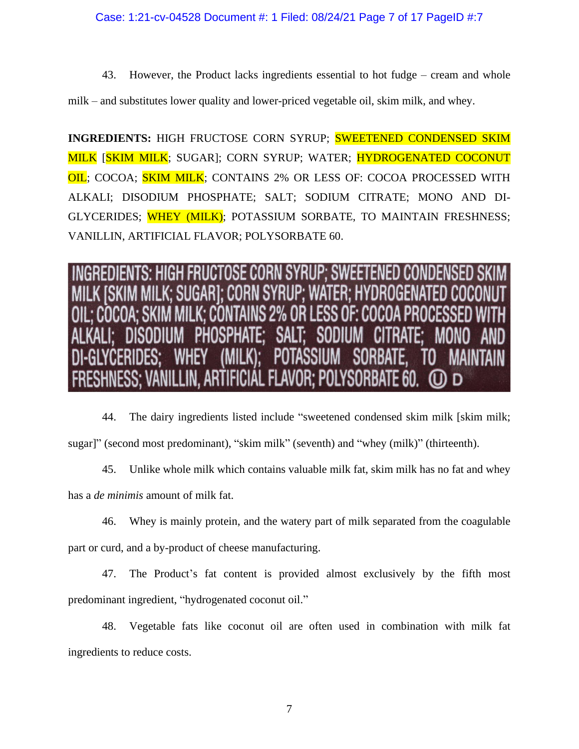43. However, the Product lacks ingredients essential to hot fudge – cream and whole

milk – and substitutes lower quality and lower-priced vegetable oil, skim milk, and whey.

**INGREDIENTS:** HIGH FRUCTOSE CORN SYRUP; SWEETENED CONDENSED SKIM MILK [SKIM MILK; SUGAR]; CORN SYRUP; WATER; HYDROGENATED COCONUT OIL; COCOA; SKIM MILK; CONTAINS 2% OR LESS OF: COCOA PROCESSED WITH ALKALI; DISODIUM PHOSPHATE; SALT; SODIUM CITRATE; MONO AND DI-GLYCERIDES; WHEY (MILK); POTASSIUM SORBATE, TO MAINTAIN FRESHNESS; VANILLIN, ARTIFICIAL FLAVOR; POLYSORBATE 60.

OSE CORN SYRUP: SWFF **WATFR** CORN SYRIP' I ESS OF **FLAVOR:** 

44. The dairy ingredients listed include "sweetened condensed skim milk [skim milk; sugar]" (second most predominant), "skim milk" (seventh) and "whey (milk)" (thirteenth).

45. Unlike whole milk which contains valuable milk fat, skim milk has no fat and whey has a *de minimis* amount of milk fat.

46. Whey is mainly protein, and the watery part of milk separated from the coagulable part or curd, and a by-product of cheese manufacturing.

47. The Product's fat content is provided almost exclusively by the fifth most predominant ingredient, "hydrogenated coconut oil."

48. Vegetable fats like coconut oil are often used in combination with milk fat ingredients to reduce costs.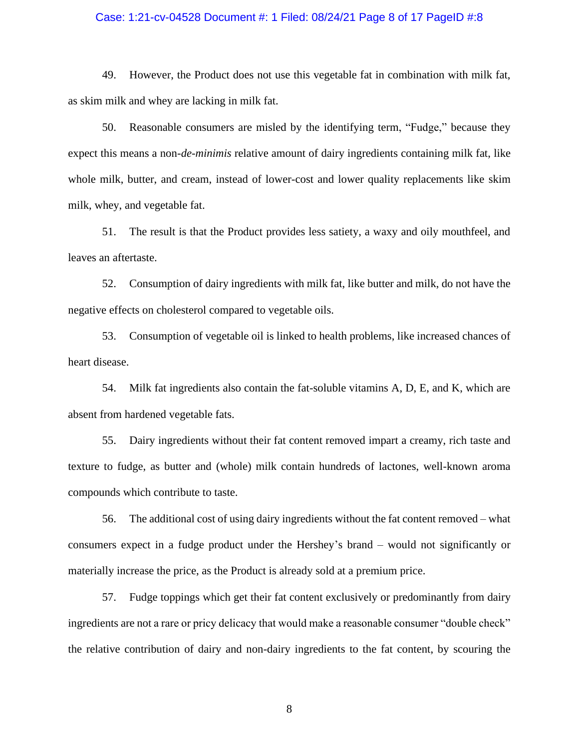#### Case: 1:21-cv-04528 Document #: 1 Filed: 08/24/21 Page 8 of 17 PageID #:8

49. However, the Product does not use this vegetable fat in combination with milk fat, as skim milk and whey are lacking in milk fat.

50. Reasonable consumers are misled by the identifying term, "Fudge," because they expect this means a non-*de-minimis* relative amount of dairy ingredients containing milk fat, like whole milk, butter, and cream, instead of lower-cost and lower quality replacements like skim milk, whey, and vegetable fat.

51. The result is that the Product provides less satiety, a waxy and oily mouthfeel, and leaves an aftertaste.

52. Consumption of dairy ingredients with milk fat, like butter and milk, do not have the negative effects on cholesterol compared to vegetable oils.

53. Consumption of vegetable oil is linked to health problems, like increased chances of heart disease.

54. Milk fat ingredients also contain the fat-soluble vitamins A, D, E, and K, which are absent from hardened vegetable fats.

55. Dairy ingredients without their fat content removed impart a creamy, rich taste and texture to fudge, as butter and (whole) milk contain hundreds of lactones, well-known aroma compounds which contribute to taste.

56. The additional cost of using dairy ingredients without the fat content removed – what consumers expect in a fudge product under the Hershey's brand – would not significantly or materially increase the price, as the Product is already sold at a premium price.

57. Fudge toppings which get their fat content exclusively or predominantly from dairy ingredients are not a rare or pricy delicacy that would make a reasonable consumer "double check" the relative contribution of dairy and non-dairy ingredients to the fat content, by scouring the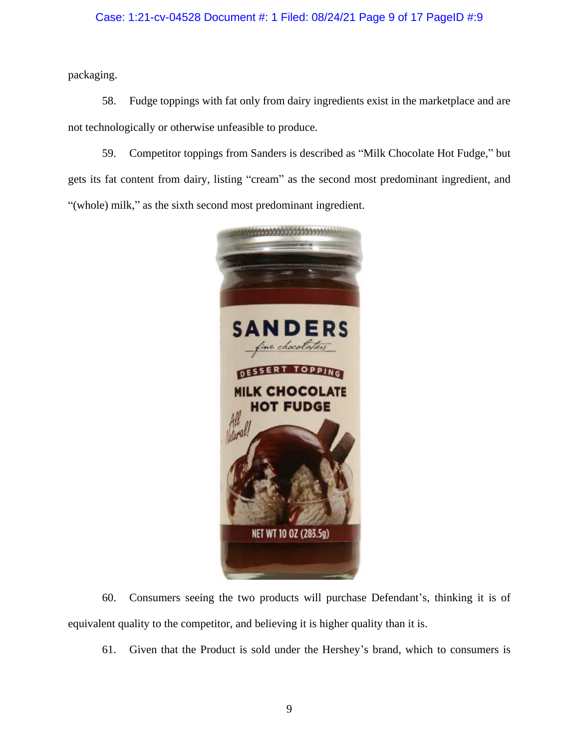## Case: 1:21-cv-04528 Document #: 1 Filed: 08/24/21 Page 9 of 17 PageID #:9

packaging.

58. Fudge toppings with fat only from dairy ingredients exist in the marketplace and are not technologically or otherwise unfeasible to produce.

59. Competitor toppings from Sanders is described as "Milk Chocolate Hot Fudge," but gets its fat content from dairy, listing "cream" as the second most predominant ingredient, and "(whole) milk," as the sixth second most predominant ingredient.



60. Consumers seeing the two products will purchase Defendant's, thinking it is of equivalent quality to the competitor, and believing it is higher quality than it is.

61. Given that the Product is sold under the Hershey's brand, which to consumers is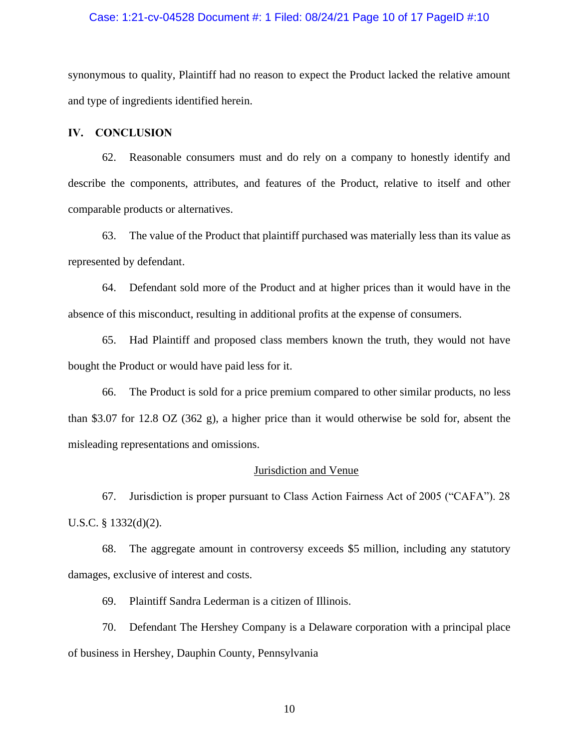#### Case: 1:21-cv-04528 Document #: 1 Filed: 08/24/21 Page 10 of 17 PageID #:10

synonymous to quality, Plaintiff had no reason to expect the Product lacked the relative amount and type of ingredients identified herein.

#### **IV. CONCLUSION**

62. Reasonable consumers must and do rely on a company to honestly identify and describe the components, attributes, and features of the Product, relative to itself and other comparable products or alternatives.

63. The value of the Product that plaintiff purchased was materially less than its value as represented by defendant.

64. Defendant sold more of the Product and at higher prices than it would have in the absence of this misconduct, resulting in additional profits at the expense of consumers.

65. Had Plaintiff and proposed class members known the truth, they would not have bought the Product or would have paid less for it.

66. The Product is sold for a price premium compared to other similar products, no less than \$3.07 for 12.8 OZ (362 g), a higher price than it would otherwise be sold for, absent the misleading representations and omissions.

#### Jurisdiction and Venue

67. Jurisdiction is proper pursuant to Class Action Fairness Act of 2005 ("CAFA"). 28 U.S.C. § 1332(d)(2).

68. The aggregate amount in controversy exceeds \$5 million, including any statutory damages, exclusive of interest and costs.

69. Plaintiff Sandra Lederman is a citizen of Illinois.

70. Defendant The Hershey Company is a Delaware corporation with a principal place of business in Hershey, Dauphin County, Pennsylvania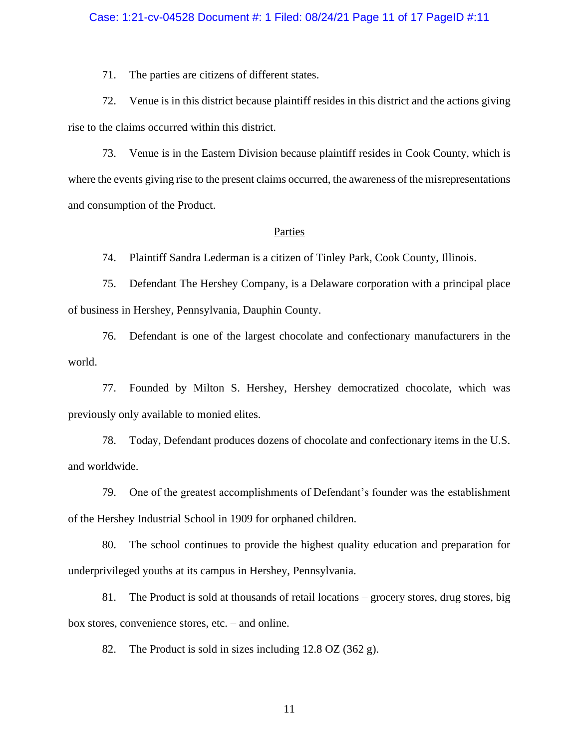#### Case: 1:21-cv-04528 Document #: 1 Filed: 08/24/21 Page 11 of 17 PageID #:11

71. The parties are citizens of different states.

72. Venue is in this district because plaintiff resides in this district and the actions giving rise to the claims occurred within this district.

73. Venue is in the Eastern Division because plaintiff resides in Cook County, which is where the events giving rise to the present claims occurred, the awareness of the misrepresentations and consumption of the Product.

## Parties

74. Plaintiff Sandra Lederman is a citizen of Tinley Park, Cook County, Illinois.

75. Defendant The Hershey Company, is a Delaware corporation with a principal place of business in Hershey, Pennsylvania, Dauphin County.

76. Defendant is one of the largest chocolate and confectionary manufacturers in the world.

77. Founded by Milton S. Hershey, Hershey democratized chocolate, which was previously only available to monied elites.

78. Today, Defendant produces dozens of chocolate and confectionary items in the U.S. and worldwide.

79. One of the greatest accomplishments of Defendant's founder was the establishment of the Hershey Industrial School in 1909 for orphaned children.

80. The school continues to provide the highest quality education and preparation for underprivileged youths at its campus in Hershey, Pennsylvania.

81. The Product is sold at thousands of retail locations – grocery stores, drug stores, big box stores, convenience stores, etc. – and online.

82. The Product is sold in sizes including 12.8 OZ (362 g).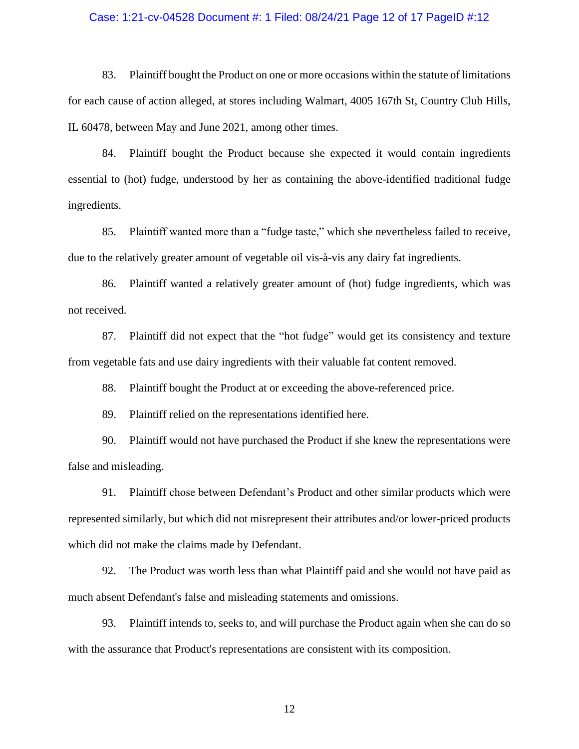#### Case: 1:21-cv-04528 Document #: 1 Filed: 08/24/21 Page 12 of 17 PageID #:12

83. Plaintiff bought the Product on one or more occasions within the statute of limitations for each cause of action alleged, at stores including Walmart, 4005 167th St, Country Club Hills, IL 60478, between May and June 2021, among other times.

84. Plaintiff bought the Product because she expected it would contain ingredients essential to (hot) fudge, understood by her as containing the above-identified traditional fudge ingredients.

85. Plaintiff wanted more than a "fudge taste," which she nevertheless failed to receive, due to the relatively greater amount of vegetable oil vis-à-vis any dairy fat ingredients.

86. Plaintiff wanted a relatively greater amount of (hot) fudge ingredients, which was not received.

87. Plaintiff did not expect that the "hot fudge" would get its consistency and texture from vegetable fats and use dairy ingredients with their valuable fat content removed.

88. Plaintiff bought the Product at or exceeding the above-referenced price.

89. Plaintiff relied on the representations identified here.

90. Plaintiff would not have purchased the Product if she knew the representations were false and misleading.

91. Plaintiff chose between Defendant's Product and other similar products which were represented similarly, but which did not misrepresent their attributes and/or lower-priced products which did not make the claims made by Defendant.

92. The Product was worth less than what Plaintiff paid and she would not have paid as much absent Defendant's false and misleading statements and omissions.

93. Plaintiff intends to, seeks to, and will purchase the Product again when she can do so with the assurance that Product's representations are consistent with its composition.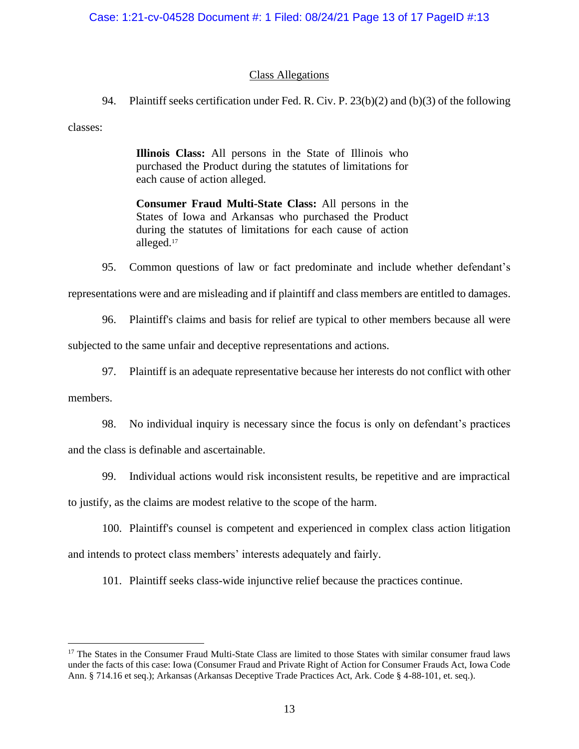## Class Allegations

94. Plaintiff seeks certification under Fed. R. Civ. P. 23(b)(2) and (b)(3) of the following

classes:

**Illinois Class:** All persons in the State of Illinois who purchased the Product during the statutes of limitations for each cause of action alleged.

**Consumer Fraud Multi-State Class:** All persons in the States of Iowa and Arkansas who purchased the Product during the statutes of limitations for each cause of action alleged.<sup>17</sup>

95. Common questions of law or fact predominate and include whether defendant's representations were and are misleading and if plaintiff and class members are entitled to damages.

96. Plaintiff's claims and basis for relief are typical to other members because all were

subjected to the same unfair and deceptive representations and actions.

97. Plaintiff is an adequate representative because her interests do not conflict with other members.

98. No individual inquiry is necessary since the focus is only on defendant's practices and the class is definable and ascertainable.

99. Individual actions would risk inconsistent results, be repetitive and are impractical

to justify, as the claims are modest relative to the scope of the harm.

100. Plaintiff's counsel is competent and experienced in complex class action litigation and intends to protect class members' interests adequately and fairly.

101. Plaintiff seeks class-wide injunctive relief because the practices continue.

<sup>&</sup>lt;sup>17</sup> The States in the Consumer Fraud Multi-State Class are limited to those States with similar consumer fraud laws under the facts of this case: Iowa (Consumer Fraud and Private Right of Action for Consumer Frauds Act, Iowa Code Ann. § 714.16 et seq.); Arkansas (Arkansas Deceptive Trade Practices Act, Ark. Code § 4-88-101, et. seq.).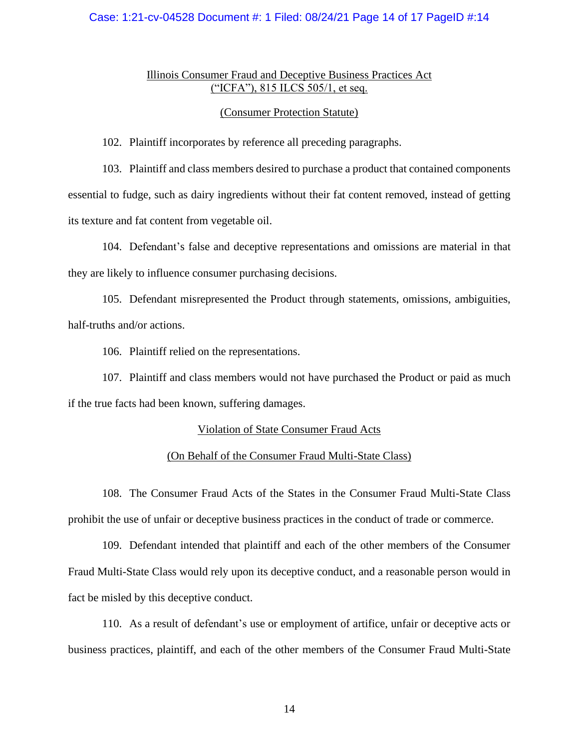## Case: 1:21-cv-04528 Document #: 1 Filed: 08/24/21 Page 14 of 17 PageID #:14

## Illinois Consumer Fraud and Deceptive Business Practices Act ("ICFA"), 815 ILCS 505/1, et seq.

#### (Consumer Protection Statute)

102. Plaintiff incorporates by reference all preceding paragraphs.

103. Plaintiff and class members desired to purchase a product that contained components essential to fudge, such as dairy ingredients without their fat content removed, instead of getting its texture and fat content from vegetable oil.

104. Defendant's false and deceptive representations and omissions are material in that they are likely to influence consumer purchasing decisions.

105. Defendant misrepresented the Product through statements, omissions, ambiguities, half-truths and/or actions.

106. Plaintiff relied on the representations.

107. Plaintiff and class members would not have purchased the Product or paid as much if the true facts had been known, suffering damages.

## Violation of State Consumer Fraud Acts

## (On Behalf of the Consumer Fraud Multi-State Class)

108. The Consumer Fraud Acts of the States in the Consumer Fraud Multi-State Class prohibit the use of unfair or deceptive business practices in the conduct of trade or commerce.

109. Defendant intended that plaintiff and each of the other members of the Consumer Fraud Multi-State Class would rely upon its deceptive conduct, and a reasonable person would in fact be misled by this deceptive conduct.

110. As a result of defendant's use or employment of artifice, unfair or deceptive acts or business practices, plaintiff, and each of the other members of the Consumer Fraud Multi-State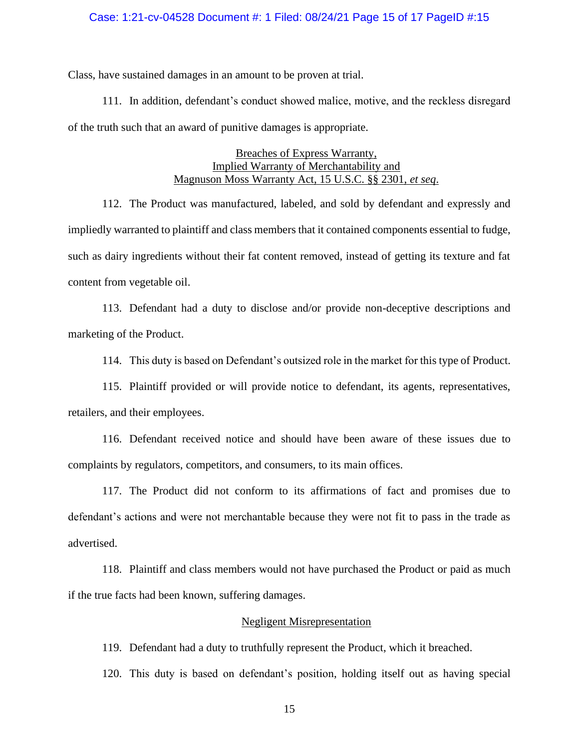### Case: 1:21-cv-04528 Document #: 1 Filed: 08/24/21 Page 15 of 17 PageID #:15

Class, have sustained damages in an amount to be proven at trial.

111. In addition, defendant's conduct showed malice, motive, and the reckless disregard of the truth such that an award of punitive damages is appropriate.

## Breaches of Express Warranty, Implied Warranty of Merchantability and Magnuson Moss Warranty Act, 15 U.S.C. §§ 2301, *et seq*.

112. The Product was manufactured, labeled, and sold by defendant and expressly and impliedly warranted to plaintiff and class members that it contained components essential to fudge, such as dairy ingredients without their fat content removed, instead of getting its texture and fat content from vegetable oil.

113. Defendant had a duty to disclose and/or provide non-deceptive descriptions and marketing of the Product.

114. This duty is based on Defendant's outsized role in the market for this type of Product.

115. Plaintiff provided or will provide notice to defendant, its agents, representatives, retailers, and their employees.

116. Defendant received notice and should have been aware of these issues due to complaints by regulators, competitors, and consumers, to its main offices.

117. The Product did not conform to its affirmations of fact and promises due to defendant's actions and were not merchantable because they were not fit to pass in the trade as advertised.

118. Plaintiff and class members would not have purchased the Product or paid as much if the true facts had been known, suffering damages.

## Negligent Misrepresentation

119. Defendant had a duty to truthfully represent the Product, which it breached.

120. This duty is based on defendant's position, holding itself out as having special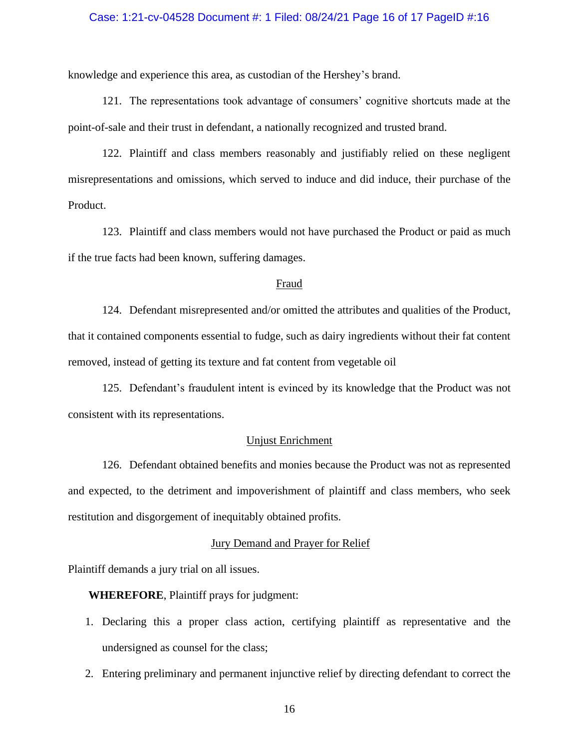### Case: 1:21-cv-04528 Document #: 1 Filed: 08/24/21 Page 16 of 17 PageID #:16

knowledge and experience this area, as custodian of the Hershey's brand.

121. The representations took advantage of consumers' cognitive shortcuts made at the point-of-sale and their trust in defendant, a nationally recognized and trusted brand.

122. Plaintiff and class members reasonably and justifiably relied on these negligent misrepresentations and omissions, which served to induce and did induce, their purchase of the Product.

123. Plaintiff and class members would not have purchased the Product or paid as much if the true facts had been known, suffering damages.

#### Fraud

124. Defendant misrepresented and/or omitted the attributes and qualities of the Product, that it contained components essential to fudge, such as dairy ingredients without their fat content removed, instead of getting its texture and fat content from vegetable oil

125. Defendant's fraudulent intent is evinced by its knowledge that the Product was not consistent with its representations.

## Unjust Enrichment

126. Defendant obtained benefits and monies because the Product was not as represented and expected, to the detriment and impoverishment of plaintiff and class members, who seek restitution and disgorgement of inequitably obtained profits.

#### Jury Demand and Prayer for Relief

Plaintiff demands a jury trial on all issues.

**WHEREFORE**, Plaintiff prays for judgment:

- 1. Declaring this a proper class action, certifying plaintiff as representative and the undersigned as counsel for the class;
- 2. Entering preliminary and permanent injunctive relief by directing defendant to correct the